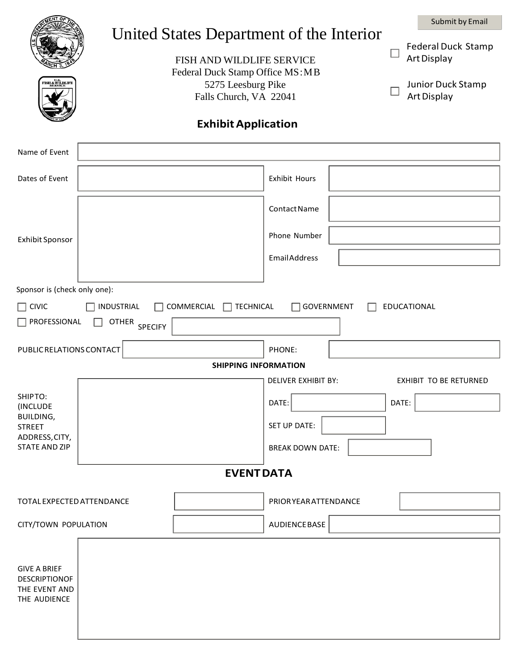|                                                                              |                          | Submit by Email                                                                                                                                   |  |
|------------------------------------------------------------------------------|--------------------------|---------------------------------------------------------------------------------------------------------------------------------------------------|--|
|                                                                              |                          | United States Department of the Interior<br><b>Federal Duck Stamp</b><br>Art Display                                                              |  |
|                                                                              |                          | FISH AND WILDLIFE SERVICE<br>Federal Duck Stamp Office MS: MB<br>5275 Leesburg Pike<br>Junior Duck Stamp<br>Falls Church, VA 22041<br>Art Display |  |
| <b>Exhibit Application</b>                                                   |                          |                                                                                                                                                   |  |
| Name of Event                                                                |                          |                                                                                                                                                   |  |
| Dates of Event                                                               |                          | <b>Exhibit Hours</b>                                                                                                                              |  |
| Exhibit Sponsor                                                              |                          | Contact Name                                                                                                                                      |  |
|                                                                              |                          | Phone Number                                                                                                                                      |  |
|                                                                              |                          | <b>EmailAddress</b>                                                                                                                               |  |
| Sponsor is (check only one):                                                 |                          |                                                                                                                                                   |  |
| $\Box$ Civic                                                                 | INDUSTRIAL<br>COMMERCIAL | GOVERNMENT<br><b>TECHNICAL</b><br>EDUCATIONAL                                                                                                     |  |
| $\Box$ PROFESSIONAL<br><b>OTHER</b><br><b>SPECIFY</b>                        |                          |                                                                                                                                                   |  |
| PUBLIC RELATIONS CONTACT                                                     |                          | PHONE:                                                                                                                                            |  |
| <b>SHIPPING INFORMATION</b>                                                  |                          |                                                                                                                                                   |  |
| SHIPTO:                                                                      |                          | <b>DELIVER EXHIBIT BY:</b><br><b>EXHIBIT TO BE RETURNED</b>                                                                                       |  |
| (INCLUDE                                                                     |                          | DATE:<br>DATE:                                                                                                                                    |  |
| <b>BUILDING,</b><br><b>STREET</b><br>ADDRESS, CITY,<br><b>STATE AND ZIP</b>  |                          | SET UP DATE:                                                                                                                                      |  |
|                                                                              |                          | <b>BREAK DOWN DATE:</b>                                                                                                                           |  |
| <b>EVENT DATA</b>                                                            |                          |                                                                                                                                                   |  |
| TOTAL EXPECTED ATTENDANCE                                                    |                          | <b>PRIOR YEAR ATTENDANCE</b>                                                                                                                      |  |
| CITY/TOWN POPULATION                                                         |                          | AUDIENCE BASE                                                                                                                                     |  |
| <b>GIVE A BRIEF</b><br><b>DESCRIPTIONOF</b><br>THE EVENT AND<br>THE AUDIENCE |                          |                                                                                                                                                   |  |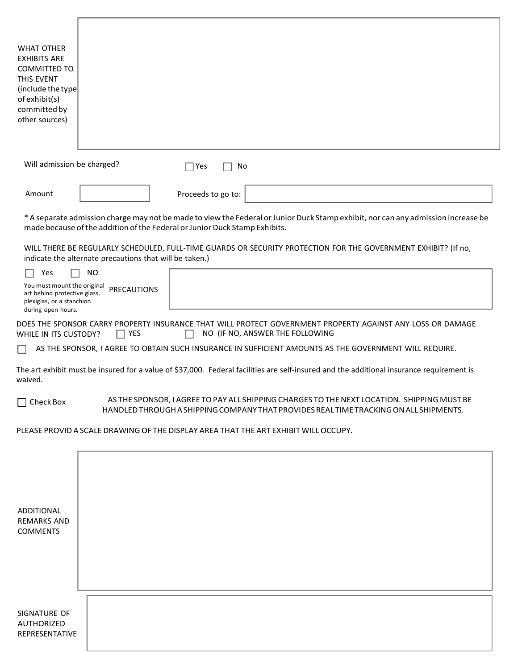| <b>WHAT OTHER</b><br><b>EXHIBITS ARE</b><br><b>COMMITTED TO</b><br>THIS EVENT<br>(include the type)<br>of exhibit(s)<br>committed by<br>other sources)                               |                                                                                                                                                                                                                 |  |
|--------------------------------------------------------------------------------------------------------------------------------------------------------------------------------------|-----------------------------------------------------------------------------------------------------------------------------------------------------------------------------------------------------------------|--|
| Will admission be charged?<br>$\sqsupset$ Yes<br>No                                                                                                                                  |                                                                                                                                                                                                                 |  |
| Amount                                                                                                                                                                               | Proceeds to go to:                                                                                                                                                                                              |  |
|                                                                                                                                                                                      | * A separate admission charge may not be made to view the Federal or Junior Duck Stamp exhibit, nor can any admission increase be<br>made because of the addition of the Federal or Junior Duck Stamp Exhibits. |  |
| WILL THERE BE REGULARLY SCHEDULED, FULL-TIME GUARDS OR SECURITY PROTECTION FOR THE GOVERNMENT EXHIBIT? (If no,<br>indicate the alternate precautions that will be taken.)            |                                                                                                                                                                                                                 |  |
| Yes<br>You must mount the original<br>art behind protective glass,<br>plexiglas, or a stanchion<br>during open hours.                                                                | <b>NO</b><br><b>PRECAUTIONS</b>                                                                                                                                                                                 |  |
| DOES THE SPONSOR CARRY PROPERTY INSURANCE THAT WILL PROTECT GOVERNMENT PROPERTY AGAINST ANY LOSS OR DAMAGE<br>$\Box$ YES<br>NO (IF NO, ANSWER THE FOLLOWING<br>WHILE IN ITS CUSTODY? |                                                                                                                                                                                                                 |  |
| AS THE SPONSOR, I AGREE TO OBTAIN SUCH INSURANCE IN SUFFICIENT AMOUNTS AS THE GOVERNMENT WILL REQUIRE.                                                                               |                                                                                                                                                                                                                 |  |
| The art exhibit must be insured for a value of \$37,000. Federal facilities are self-insured and the additional insurance requirement is<br>waived.                                  |                                                                                                                                                                                                                 |  |
| Check Box                                                                                                                                                                            | AS THE SPONSOR, I AGREE TO PAY ALL SHIPPING CHARGES TO THE NEXT LOCATION. SHIPPING MUST BE<br>HANDLED THROUGH A SHIPPING COMPANY THAT PROVIDES REAL TIME TRACKING ON ALL SHIPMENTS.                             |  |
| PLEASE PROVID A SCALE DRAWING OF THE DISPLAY AREA THAT THE ART EXHIBIT WILL OCCUPY.                                                                                                  |                                                                                                                                                                                                                 |  |
| ADDITIONAL<br><b>REMARKS AND</b><br><b>COMMENTS</b>                                                                                                                                  |                                                                                                                                                                                                                 |  |
| SIGNATURE OF<br><b>AUTHORIZED</b><br>REPRESENTATIVE                                                                                                                                  |                                                                                                                                                                                                                 |  |